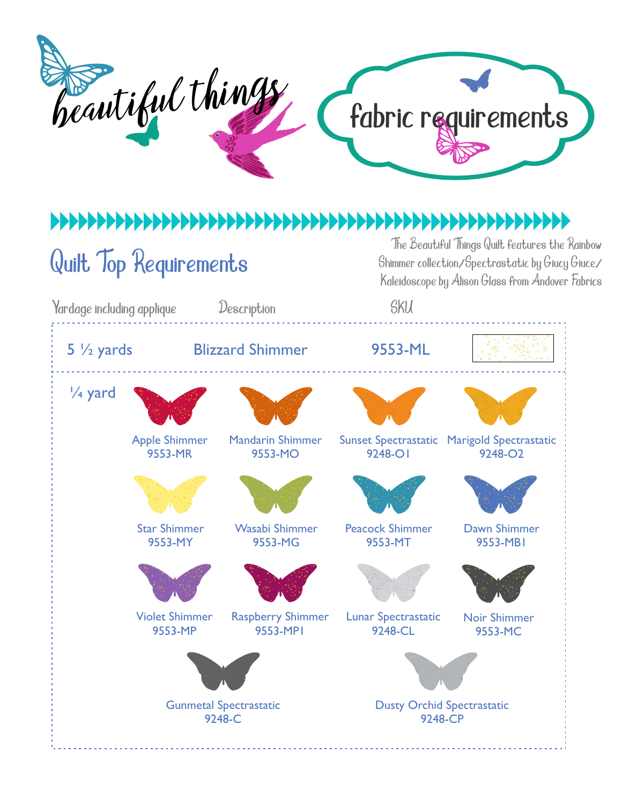## fabric requirements beautiful things

## 

## Quilt Top Requirements

The Beautiful Things Quilt features the Rainbow Shimmer collection/Spectrastatic by Giucy Giuce/ Kaleidoscope by Alison Glass from Andover Fabrics